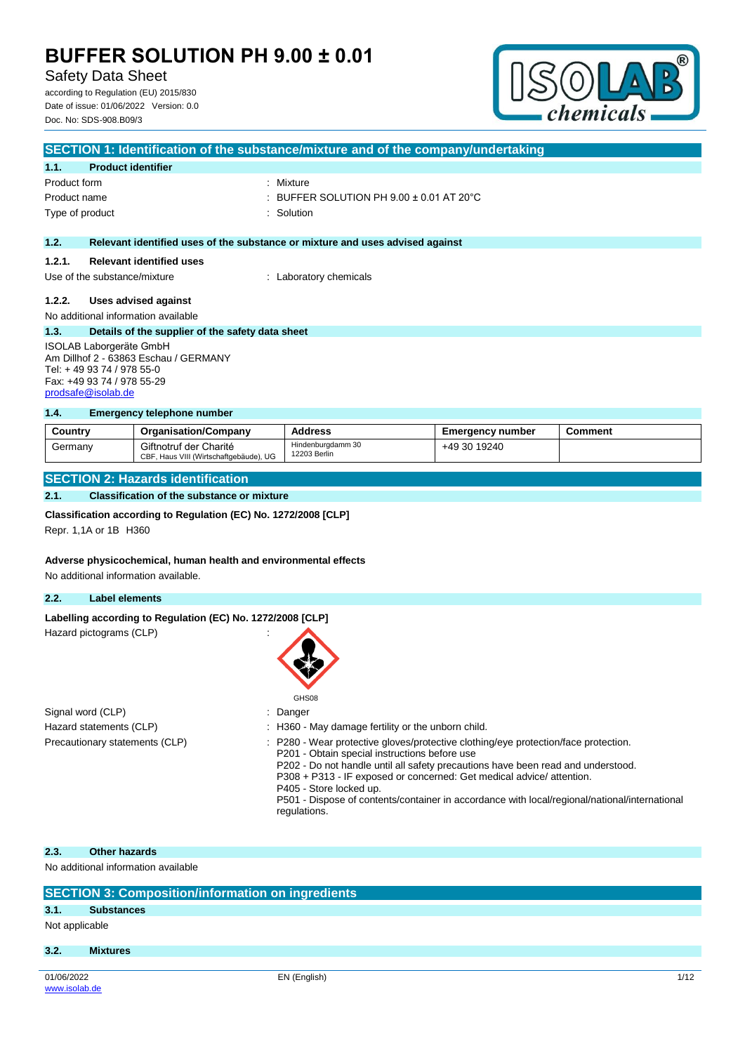Safety Data Sheet

according to Regulation (EU) 2015/830 Date of issue: 01/06/2022 Version: 0.0 Doc. No: SDS-908.B09/3



|                                       | SECTION 1: Identification of the substance/mixture and of the company/undertaking |                                                                               |  |  |  |
|---------------------------------------|-----------------------------------------------------------------------------------|-------------------------------------------------------------------------------|--|--|--|
| 1.1.                                  | <b>Product identifier</b>                                                         |                                                                               |  |  |  |
| Product form                          |                                                                                   | : Mixture                                                                     |  |  |  |
| Product name                          |                                                                                   | : BUFFER SOLUTION PH $9.00 \pm 0.01$ AT 20 $^{\circ}$ C                       |  |  |  |
| Type of product                       |                                                                                   | : Solution                                                                    |  |  |  |
|                                       |                                                                                   |                                                                               |  |  |  |
| 1.2.                                  |                                                                                   | Relevant identified uses of the substance or mixture and uses advised against |  |  |  |
| 1.2.1.                                | <b>Relevant identified uses</b>                                                   |                                                                               |  |  |  |
| Use of the substance/mixture          |                                                                                   | : Laboratory chemicals                                                        |  |  |  |
| 1.2.2.                                |                                                                                   |                                                                               |  |  |  |
|                                       | Uses advised against                                                              |                                                                               |  |  |  |
|                                       | No additional information available                                               |                                                                               |  |  |  |
| 1.3.                                  | Details of the supplier of the safety data sheet                                  |                                                                               |  |  |  |
| ISOLAB Laborgeräte GmbH               |                                                                                   |                                                                               |  |  |  |
| Am Dillhof 2 - 63863 Eschau / GERMANY |                                                                                   |                                                                               |  |  |  |
| Tel: +49 93 74 / 978 55-0             |                                                                                   |                                                                               |  |  |  |
| Fax: +49 93 74 / 978 55-29            |                                                                                   |                                                                               |  |  |  |

## **1.4. Emergency telephone number**

| Country | <b>Organisation/Company</b>                                      | <b>Address</b>                    | <b>Emergency number</b> | Comment |
|---------|------------------------------------------------------------------|-----------------------------------|-------------------------|---------|
| Germanv | Giftnotruf der Charité<br>CBF, Haus VIII (Wirtschaftgebäude), UG | Hindenburgdamm 30<br>12203 Berlin | +49 30 19240            |         |

## **SECTION 2: Hazards identification**

### **2.1. Classification of the substance or mixture**

#### **Classification according to Regulation (EC) No. 1272/2008 [CLP]**

Repr. 1,1A or 1B H360

[prodsafe@isolab.de](mailto:prodsafe@isolab.de)

#### **Adverse physicochemical, human health and environmental effects**

No additional information available.

## **2.2. Label elements**

#### Labelling according to Regulation (EC) No. 1272/2008 [CLP]

Hazard pictograms (CLP) :



GHS08

| Signal word (CLP)              | : Danger                                                                                                                                                                                                                                                                                                                                                                                                                           |
|--------------------------------|------------------------------------------------------------------------------------------------------------------------------------------------------------------------------------------------------------------------------------------------------------------------------------------------------------------------------------------------------------------------------------------------------------------------------------|
| Hazard statements (CLP)        | : H360 - May damage fertility or the unborn child.                                                                                                                                                                                                                                                                                                                                                                                 |
| Precautionary statements (CLP) | $\therefore$ P280 - Wear protective gloves/protective clothing/eye protection/face protection.<br>P201 - Obtain special instructions before use<br>P202 - Do not handle until all safety precautions have been read and understood.<br>P308 + P313 - IF exposed or concerned: Get medical advice/ attention.<br>P405 - Store locked up.<br>DE01 Dianose of contente/container in considerate with local/regional/national/internat |

#### P501 - Dispose of contents/container in accordance with local/regional/national/international regulations.

#### **2.3. Other hazards**

No additional information available

| <b>SECTION 3: Composition/information on ingredients</b> |                   |              |      |  |
|----------------------------------------------------------|-------------------|--------------|------|--|
| 3.1.                                                     | <b>Substances</b> |              |      |  |
| Not applicable                                           |                   |              |      |  |
| 3.2.                                                     | <b>Mixtures</b>   |              |      |  |
|                                                          |                   |              |      |  |
| 01/06/2022                                               |                   | EN (English) | 1/12 |  |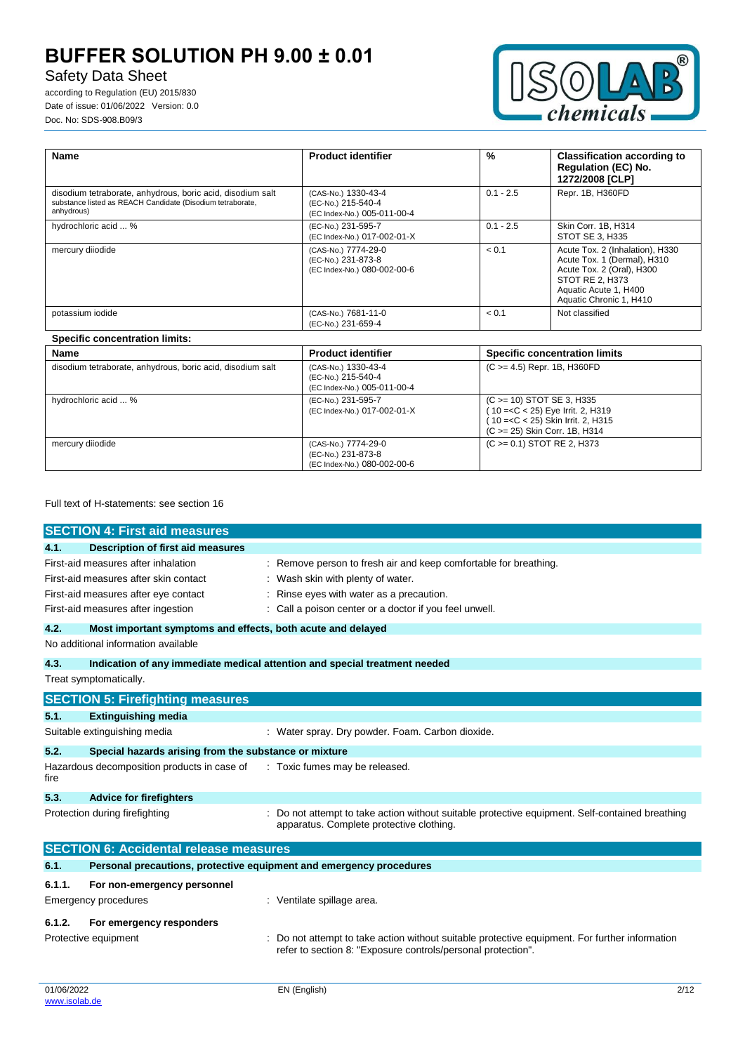# Safety Data Sheet

according to Regulation (EU) 2015/830 Date of issue: 01/06/2022 Version: 0.0 Doc. No: SDS-908.B09/3



| Name                                                                                                                                   | <b>Product identifier</b>                                                | $\%$        | <b>Classification according to</b><br><b>Regulation (EC) No.</b><br>1272/2008 [CLP]                                                                                |
|----------------------------------------------------------------------------------------------------------------------------------------|--------------------------------------------------------------------------|-------------|--------------------------------------------------------------------------------------------------------------------------------------------------------------------|
| disodium tetraborate, anhydrous, boric acid, disodium salt<br>substance listed as REACH Candidate (Disodium tetraborate,<br>anhydrous) | (CAS-No.) 1330-43-4<br>(EC-No.) 215-540-4<br>(EC Index-No.) 005-011-00-4 | $0.1 - 2.5$ | Repr. 1B, H360FD                                                                                                                                                   |
| hydrochloric acid  %                                                                                                                   | (EC-No.) 231-595-7<br>(EC Index-No.) 017-002-01-X                        | $0.1 - 2.5$ | Skin Corr. 1B, H314<br>STOT SE 3, H335                                                                                                                             |
| mercury diiodide                                                                                                                       | (CAS-No.) 7774-29-0<br>(EC-No.) 231-873-8<br>(EC Index-No.) 080-002-00-6 | < 0.1       | Acute Tox. 2 (Inhalation), H330<br>Acute Tox. 1 (Dermal), H310<br>Acute Tox. 2 (Oral), H300<br>STOT RE 2, H373<br>Aquatic Acute 1, H400<br>Aquatic Chronic 1, H410 |
| potassium iodide                                                                                                                       | (CAS-No.) 7681-11-0<br>(EC-No.) 231-659-4                                | < 0.1       | Not classified                                                                                                                                                     |

## **Specific concentration limits:**

| Name                                                       | <b>Product identifier</b>                                                | <b>Specific concentration limits</b>                                                                                                          |
|------------------------------------------------------------|--------------------------------------------------------------------------|-----------------------------------------------------------------------------------------------------------------------------------------------|
| disodium tetraborate, anhydrous, boric acid, disodium salt | (CAS-No.) 1330-43-4<br>(EC-No.) 215-540-4<br>(EC Index-No.) 005-011-00-4 | $(C \ge 4.5)$ Repr. 1B, H360FD                                                                                                                |
| hydrochloric acid  %                                       | (EC-No.) 231-595-7<br>(EC Index-No.) 017-002-01-X                        | $(C \ge 10)$ STOT SE 3, H335<br>$(10 = < C < 25)$ Eye Irrit. 2, H319<br>(10 = < C < 25) Skin Irrit. 2, H315<br>(C > = 25) Skin Corr. 1B, H314 |
| mercury diiodide                                           | (CAS-No.) 7774-29-0<br>(EC-No.) 231-873-8<br>(EC Index-No.) 080-002-00-6 | $(C \ge 0.1)$ STOT RE 2, H373                                                                                                                 |

## Full text of H-statements: see section 16

|                                     | <b>SECTION 4: First aid measures</b>                                |                                                                                                                                                              |
|-------------------------------------|---------------------------------------------------------------------|--------------------------------------------------------------------------------------------------------------------------------------------------------------|
| 4.1.                                | <b>Description of first aid measures</b>                            |                                                                                                                                                              |
| First-aid measures after inhalation |                                                                     | Remove person to fresh air and keep comfortable for breathing.                                                                                               |
|                                     | First-aid measures after skin contact                               | : Wash skin with plenty of water.                                                                                                                            |
|                                     | First-aid measures after eye contact                                | Rinse eyes with water as a precaution.                                                                                                                       |
|                                     | First-aid measures after ingestion                                  | Call a poison center or a doctor if you feel unwell.                                                                                                         |
| 4.2.                                | Most important symptoms and effects, both acute and delayed         |                                                                                                                                                              |
|                                     | No additional information available                                 |                                                                                                                                                              |
| 4.3.                                |                                                                     | Indication of any immediate medical attention and special treatment needed                                                                                   |
|                                     | Treat symptomatically.                                              |                                                                                                                                                              |
|                                     | <b>SECTION 5: Firefighting measures</b>                             |                                                                                                                                                              |
| 5.1.                                | <b>Extinguishing media</b>                                          |                                                                                                                                                              |
| Suitable extinguishing media        |                                                                     | : Water spray. Dry powder. Foam. Carbon dioxide.                                                                                                             |
| 5.2.                                | Special hazards arising from the substance or mixture               |                                                                                                                                                              |
| fire                                | Hazardous decomposition products in case of                         | : Toxic fumes may be released.                                                                                                                               |
| 5.3.                                | <b>Advice for firefighters</b>                                      |                                                                                                                                                              |
|                                     | Protection during firefighting                                      | Do not attempt to take action without suitable protective equipment. Self-contained breathing<br>apparatus. Complete protective clothing.                    |
|                                     | <b>SECTION 6: Accidental release measures</b>                       |                                                                                                                                                              |
| 6.1.                                | Personal precautions, protective equipment and emergency procedures |                                                                                                                                                              |
| 6.1.1.                              | For non-emergency personnel                                         |                                                                                                                                                              |
| Emergency procedures                |                                                                     | : Ventilate spillage area.                                                                                                                                   |
| 6.1.2.                              | For emergency responders                                            |                                                                                                                                                              |
| Protective equipment                |                                                                     | Do not attempt to take action without suitable protective equipment. For further information<br>refer to section 8: "Exposure controls/personal protection". |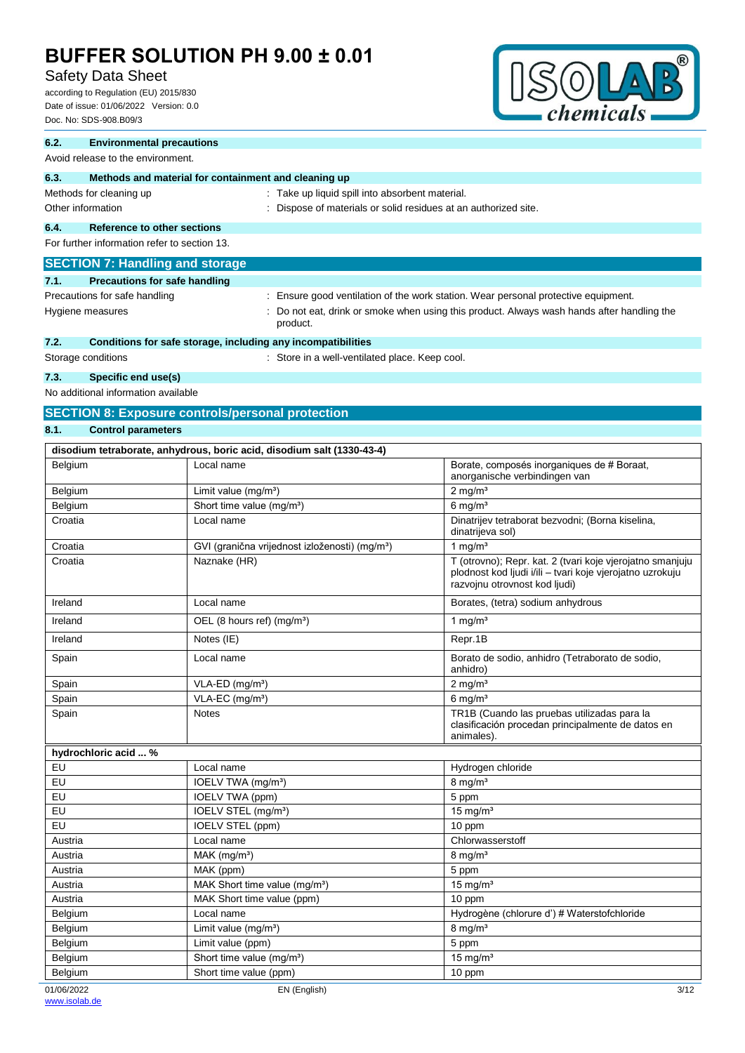# Safety Data Sheet

according to Regulation (EU) 2015/830 Date of issue: 01/06/2022 Version: 0.0 Doc. No: SDS-908.B09/3



### **6.2. Environmental precautions**

#### Avoid release to the environment.

| 6.3.                                         | Methods and material for containment and cleaning up |  |                                                                                                                    |  |
|----------------------------------------------|------------------------------------------------------|--|--------------------------------------------------------------------------------------------------------------------|--|
| Methods for cleaning up<br>Other information |                                                      |  | : Take up liquid spill into absorbent material.<br>: Dispose of materials or solid residues at an authorized site. |  |
| 6.4.                                         | <b>Reference to other sections</b>                   |  |                                                                                                                    |  |
| For further information refer to section 13. |                                                      |  |                                                                                                                    |  |
|                                              | <b>SECTION 7: Handling and storage</b>               |  |                                                                                                                    |  |
| 7.1.                                         | <b>Precautions for safe handling</b>                 |  |                                                                                                                    |  |
|                                              | Precautions for safe handling                        |  | : Ensure good ventilation of the work station. Wear personal protective equipment.                                 |  |
| Hygiene measures                             |                                                      |  | : Do not eat, drink or smoke when using this product. Always wash hands after handling the<br>product.             |  |

## **7.2. Conditions for safe storage, including any incompatibilities**

Storage conditions **Storage conditions** : Store in a well-ventilated place. Keep cool.

### **7.3. Specific end use(s)**

No additional information available

## **SECTION 8: Exposure controls/personal protection**

### **8.1. Control parameters**

| disodium tetraborate, anhydrous, boric acid, disodium salt (1330-43-4) |                                                            |                                                                                                                                                         |  |  |  |
|------------------------------------------------------------------------|------------------------------------------------------------|---------------------------------------------------------------------------------------------------------------------------------------------------------|--|--|--|
| Belgium                                                                | Local name                                                 | Borate, composés inorganiques de # Boraat,<br>anorganische verbindingen van                                                                             |  |  |  |
| Belgium                                                                | Limit value $(mg/m3)$                                      | $2 \text{ mg/m}^3$                                                                                                                                      |  |  |  |
| Belgium                                                                | Short time value (mg/m <sup>3</sup> )                      | $6$ mg/m <sup>3</sup>                                                                                                                                   |  |  |  |
| Croatia                                                                | Local name                                                 | Dinatrijev tetraborat bezvodni; (Borna kiselina,<br>dinatrijeva sol)                                                                                    |  |  |  |
| Croatia                                                                | GVI (granična vrijednost izloženosti) (mg/m <sup>3</sup> ) | 1 mg/ $m3$                                                                                                                                              |  |  |  |
| Croatia                                                                | Naznake (HR)                                               | T (otrovno); Repr. kat. 2 (tvari koje vjerojatno smanjuju<br>plodnost kod ljudi i/ili - tvari koje vjerojatno uzrokuju<br>razvojnu otrovnost kod ljudi) |  |  |  |
| Ireland                                                                | Local name                                                 | Borates, (tetra) sodium anhydrous                                                                                                                       |  |  |  |
| Ireland                                                                | OEL (8 hours ref) (mg/m <sup>3</sup> )                     | 1 mg/ $m3$                                                                                                                                              |  |  |  |
| Ireland                                                                | Notes (IE)                                                 | Repr.1B                                                                                                                                                 |  |  |  |
| Spain                                                                  | Local name                                                 | Borato de sodio, anhidro (Tetraborato de sodio,<br>anhidro)                                                                                             |  |  |  |
| Spain                                                                  | VLA-ED (mg/m <sup>3</sup> )                                | $2$ mg/m <sup>3</sup>                                                                                                                                   |  |  |  |
| Spain                                                                  | VLA-EC (mg/m <sup>3</sup> )                                | $6 \text{ mg/m}^3$                                                                                                                                      |  |  |  |
| Spain                                                                  | <b>Notes</b>                                               | TR1B (Cuando las pruebas utilizadas para la<br>clasificación procedan principalmente de datos en<br>animales).                                          |  |  |  |
| hydrochloric acid  %                                                   |                                                            |                                                                                                                                                         |  |  |  |
| EU                                                                     | Local name                                                 | Hydrogen chloride                                                                                                                                       |  |  |  |
| EU                                                                     | IOELV TWA (mg/m <sup>3</sup> )                             | $8$ mg/m <sup>3</sup>                                                                                                                                   |  |  |  |
| EU                                                                     | IOELV TWA (ppm)                                            | 5 ppm                                                                                                                                                   |  |  |  |
| EU                                                                     | IOELV STEL (mg/m <sup>3</sup> )                            | $15$ mg/m <sup>3</sup>                                                                                                                                  |  |  |  |
| EU                                                                     | IOELV STEL (ppm)                                           | 10 ppm                                                                                                                                                  |  |  |  |
| Austria                                                                | Local name                                                 | Chlorwasserstoff                                                                                                                                        |  |  |  |
| Austria                                                                | MAK (mg/m <sup>3</sup> )                                   | $8$ mg/m <sup>3</sup>                                                                                                                                   |  |  |  |
| Austria                                                                | MAK (ppm)                                                  | 5 ppm                                                                                                                                                   |  |  |  |
| Austria                                                                | MAK Short time value (mg/m <sup>3</sup> )                  | $15$ mg/m <sup>3</sup>                                                                                                                                  |  |  |  |
| Austria                                                                | MAK Short time value (ppm)                                 | 10 ppm                                                                                                                                                  |  |  |  |
| Belgium                                                                | Local name                                                 | Hydrogène (chlorure d') # Waterstofchloride                                                                                                             |  |  |  |
| Belgium                                                                | Limit value (mg/m <sup>3</sup> )                           | $8$ mg/m <sup>3</sup>                                                                                                                                   |  |  |  |
| Belgium                                                                | Limit value (ppm)                                          | 5 ppm                                                                                                                                                   |  |  |  |
| Belgium                                                                | Short time value (mg/m <sup>3</sup> )                      | $15$ mg/m <sup>3</sup>                                                                                                                                  |  |  |  |
| Belgium                                                                | Short time value (ppm)                                     | 10 ppm                                                                                                                                                  |  |  |  |
| 01/06/2022                                                             | EN (English)                                               | 3/12                                                                                                                                                    |  |  |  |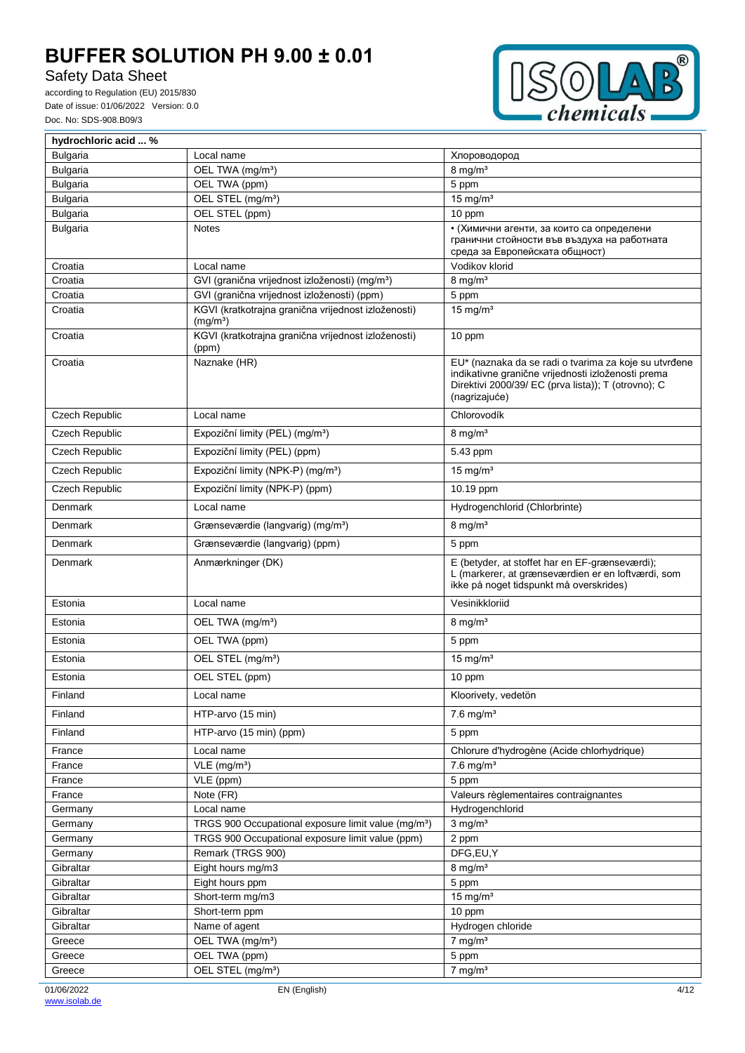# Safety Data Sheet



| hydrochloric acid  %  |                                                                             |                                                                                                                                                                                     |
|-----------------------|-----------------------------------------------------------------------------|-------------------------------------------------------------------------------------------------------------------------------------------------------------------------------------|
| <b>Bulgaria</b>       | Local name                                                                  | Хлороводород                                                                                                                                                                        |
| <b>Bulgaria</b>       | OEL TWA (mg/m <sup>3</sup> )                                                | $8 \text{ mg/m}^3$                                                                                                                                                                  |
| <b>Bulgaria</b>       | OEL TWA (ppm)                                                               | 5 ppm                                                                                                                                                                               |
| <b>Bulgaria</b>       | OEL STEL (mg/m <sup>3</sup> )                                               | $15$ mg/m <sup>3</sup>                                                                                                                                                              |
| <b>Bulgaria</b>       | OEL STEL (ppm)                                                              | 10 ppm                                                                                                                                                                              |
| <b>Bulgaria</b>       | <b>Notes</b>                                                                | • (Химични агенти, за които са определени<br>гранични стойности във въздуха на работната<br>среда за Европейската общност)                                                          |
| Croatia               | Local name                                                                  | Vodikov klorid                                                                                                                                                                      |
| Croatia               | GVI (granična vrijednost izloženosti) (mg/m <sup>3</sup> )                  | $8$ mg/m <sup>3</sup>                                                                                                                                                               |
| Croatia               | GVI (granična vrijednost izloženosti) (ppm)                                 | 5 ppm                                                                                                                                                                               |
| Croatia               | KGVI (kratkotrajna granična vrijednost izloženosti)<br>(mg/m <sup>3</sup> ) | $\frac{1}{15}$ mg/m <sup>3</sup>                                                                                                                                                    |
| Croatia               | KGVI (kratkotrajna granična vrijednost izloženosti)<br>(ppm)                | 10 ppm                                                                                                                                                                              |
| Croatia               | Naznake (HR)                                                                | EU* (naznaka da se radi o tvarima za koje su utvrđene<br>indikativne granične vrijednosti izloženosti prema<br>Direktivi 2000/39/ EC (prva lista)); T (otrovno); C<br>(nagrizajuće) |
| <b>Czech Republic</b> | Local name                                                                  | Chlorovodík                                                                                                                                                                         |
| Czech Republic        | Expoziční limity (PEL) (mg/m <sup>3</sup> )                                 | $8 \text{ mg/m}^3$                                                                                                                                                                  |
| Czech Republic        | Expoziční limity (PEL) (ppm)                                                | 5.43 ppm                                                                                                                                                                            |
| <b>Czech Republic</b> | Expoziční limity (NPK-P) (mg/m <sup>3</sup> )                               | 15 mg/ $m3$                                                                                                                                                                         |
| <b>Czech Republic</b> | Expoziční limity (NPK-P) (ppm)                                              | 10.19 ppm                                                                                                                                                                           |
| Denmark               | Local name                                                                  | Hydrogenchlorid (Chlorbrinte)                                                                                                                                                       |
| Denmark               | Grænseværdie (langvarig) (mg/m <sup>3</sup> )                               | $8 \text{ mg/m}^3$                                                                                                                                                                  |
| Denmark               | Grænseværdie (langvarig) (ppm)                                              | 5 ppm                                                                                                                                                                               |
| Denmark               | Anmærkninger (DK)                                                           | E (betyder, at stoffet har en EF-grænseværdi);<br>L (markerer, at grænseværdien er en loftværdi, som<br>ikke på noget tidspunkt må overskrides)                                     |
| Estonia               | Local name                                                                  | Vesinikkloriid                                                                                                                                                                      |
| Estonia               | OEL TWA (mg/m <sup>3</sup> )                                                | $8 \text{ mg/m}^3$                                                                                                                                                                  |
| Estonia               | OEL TWA (ppm)                                                               | 5 ppm                                                                                                                                                                               |
| Estonia               | OEL STEL (mg/m <sup>3</sup> )                                               | 15 mg/ $m3$                                                                                                                                                                         |
| Estonia               | OEL STEL (ppm)                                                              | 10 ppm                                                                                                                                                                              |
| Finland               | Local name                                                                  | Kloorivety, vedetön                                                                                                                                                                 |
| Finland               | HTP-arvo (15 min)                                                           | $7.6$ mg/m <sup>3</sup>                                                                                                                                                             |
| Finland               | HTP-arvo (15 min) (ppm)                                                     | 5 ppm                                                                                                                                                                               |
| France                | Local name                                                                  | Chlorure d'hydrogène (Acide chlorhydrique)                                                                                                                                          |
| France                | $VLE$ (mg/m <sup>3</sup> )                                                  | $7.6$ mg/m <sup>3</sup>                                                                                                                                                             |
| France                | VLE (ppm)                                                                   | 5 ppm                                                                                                                                                                               |
| France                | Note (FR)                                                                   | Valeurs règlementaires contraignantes                                                                                                                                               |
| Germany               | Local name                                                                  | Hydrogenchlorid                                                                                                                                                                     |
| Germany               | TRGS 900 Occupational exposure limit value (mg/m <sup>3</sup> )             | $3$ mg/m <sup>3</sup>                                                                                                                                                               |
| Germany               | TRGS 900 Occupational exposure limit value (ppm)                            | 2 ppm                                                                                                                                                                               |
| Germany<br>Gibraltar  | Remark (TRGS 900)<br>Eight hours mg/m3                                      | DFG,EU,Y<br>$8$ mg/m <sup>3</sup>                                                                                                                                                   |
| Gibraltar             | Eight hours ppm                                                             | 5 ppm                                                                                                                                                                               |
| Gibraltar             | Short-term mg/m3                                                            | 15 mg/ $m3$                                                                                                                                                                         |
| Gibraltar             | Short-term ppm                                                              | 10 ppm                                                                                                                                                                              |
| Gibraltar             | Name of agent                                                               | Hydrogen chloride                                                                                                                                                                   |
| Greece                | OEL TWA (mg/m <sup>3</sup> )                                                | $7$ mg/m <sup>3</sup>                                                                                                                                                               |
| Greece                | OEL TWA (ppm)                                                               | 5 ppm                                                                                                                                                                               |
| Greece                | OEL STEL (mg/m <sup>3</sup> )                                               | $7$ mg/m <sup>3</sup>                                                                                                                                                               |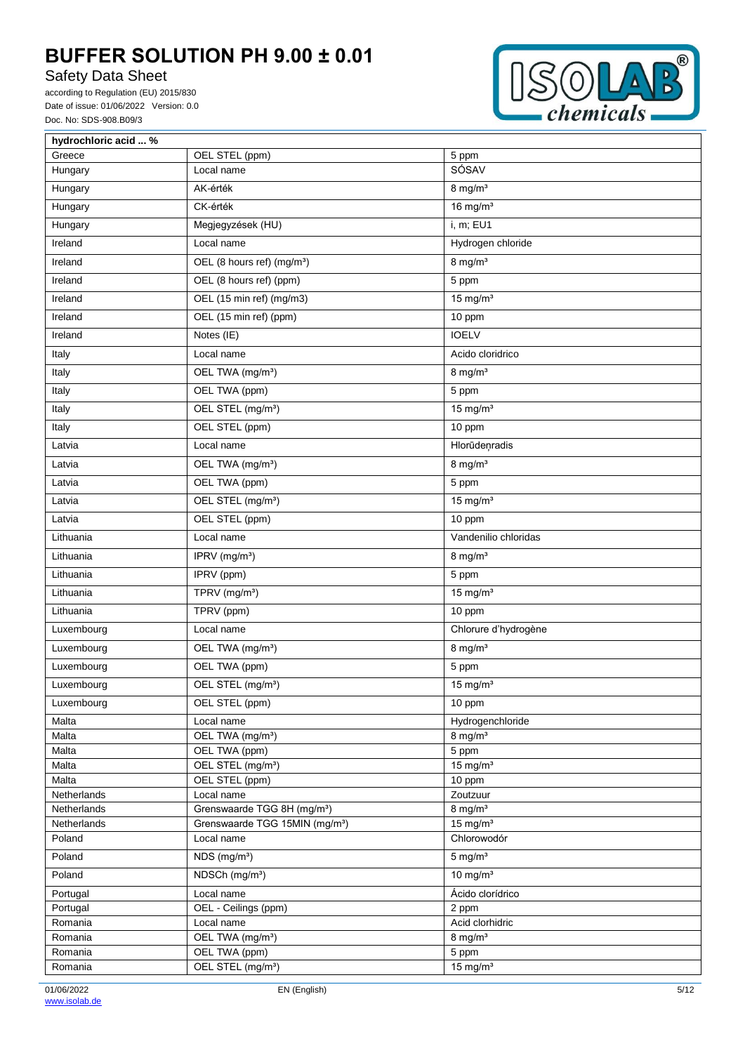# Safety Data Sheet



| hydrochloric acid  % |                                            |                                  |
|----------------------|--------------------------------------------|----------------------------------|
| Greece               | OEL STEL (ppm)                             | 5 ppm                            |
| Hungary              | Local name                                 | SÓSAV                            |
| Hungary              | AK-érték                                   | $8$ mg/m <sup>3</sup>            |
| Hungary              | CK-érték                                   | $16$ mg/m <sup>3</sup>           |
| Hungary              | Megjegyzések (HU)                          | i, m; EU1                        |
| Ireland              | Local name                                 | Hydrogen chloride                |
| Ireland              | OEL (8 hours ref) (mg/m <sup>3</sup> )     | $8 \text{ mg/m}^3$               |
| Ireland              | OEL (8 hours ref) (ppm)                    | 5 ppm                            |
| Ireland              | OEL (15 min ref) (mg/m3)                   | $15$ mg/m <sup>3</sup>           |
| Ireland              | OEL (15 min ref) (ppm)                     | 10 ppm                           |
| Ireland              | Notes (IE)                                 | <b>IOELV</b>                     |
| Italy                | Local name                                 | Acido cloridrico                 |
| Italy                | OEL TWA (mg/m <sup>3</sup> )               | $8$ mg/m <sup>3</sup>            |
| Italy                | OEL TWA (ppm)                              | 5 ppm                            |
| Italy                | OEL STEL (mg/m <sup>3</sup> )              | 15 mg/ $m3$                      |
| Italy                | OEL STEL (ppm)                             | 10 ppm                           |
| Latvia               | Local name                                 | Hlorūdeņradis                    |
| Latvia               | OEL TWA (mg/m <sup>3</sup> )               | $8$ mg/m <sup>3</sup>            |
| Latvia               | OEL TWA (ppm)                              | 5 ppm                            |
| Latvia               | OEL STEL (mg/m <sup>3</sup> )              | 15 mg/ $m3$                      |
| Latvia               | OEL STEL (ppm)                             | 10 ppm                           |
| Lithuania            | Local name                                 | Vandenilio chloridas             |
| Lithuania            | IPRV (mg/m <sup>3</sup> )                  | $8$ mg/m <sup>3</sup>            |
| Lithuania            | IPRV (ppm)                                 | 5 ppm                            |
| Lithuania            | TPRV (mg/m <sup>3</sup> )                  | $15$ mg/m <sup>3</sup>           |
| Lithuania            | TPRV (ppm)                                 | 10 ppm                           |
| Luxembourg           | Local name                                 | Chlorure d'hydrogène             |
| Luxembourg           | OEL TWA (mg/m <sup>3</sup> )               | $8$ mg/m <sup>3</sup>            |
| Luxembourg           | OEL TWA (ppm)                              | 5 ppm                            |
| Luxembourg           | OEL STEL (mg/m <sup>3</sup> )              | $\frac{1}{15}$ mg/m <sup>3</sup> |
| Luxembourg           | OEL STEL (ppm)                             | 10 ppm                           |
| Malta                | Local name                                 | Hydrogenchloride                 |
| Malta                | OEL TWA (mg/m <sup>3</sup> )               | $8$ mg/m <sup>3</sup>            |
| Malta                | OEL TWA (ppm)                              | 5 ppm                            |
| Malta                | OEL STEL (mg/m <sup>3</sup> )              | $15$ mg/m <sup>3</sup>           |
| Malta                | OEL STEL (ppm)                             | 10 ppm                           |
| Netherlands          | Local name                                 | Zoutzuur                         |
| Netherlands          | Grenswaarde TGG 8H (mg/m <sup>3</sup> )    | $8$ mg/m <sup>3</sup>            |
| Netherlands          | Grenswaarde TGG 15MIN (mg/m <sup>3</sup> ) | $15$ mg/m <sup>3</sup>           |
| Poland               | Local name                                 | Chlorowodór                      |
| Poland               | NDS (mg/m <sup>3</sup> )                   | $5$ mg/m <sup>3</sup>            |
| Poland               | NDSCh (mg/m <sup>3</sup> )                 | 10 mg/ $m3$                      |
| Portugal             | Local name                                 | Ácido clorídrico                 |
| Portugal             | OEL - Ceilings (ppm)                       | 2 ppm                            |
| Romania              | Local name                                 | Acid clorhidric                  |
| Romania              | OEL TWA (mg/m <sup>3</sup> )               | $8$ mg/m <sup>3</sup>            |
| Romania              | OEL TWA (ppm)                              | 5 ppm                            |
| Romania              | OEL STEL (mg/m <sup>3</sup> )              | $15$ mg/m <sup>3</sup>           |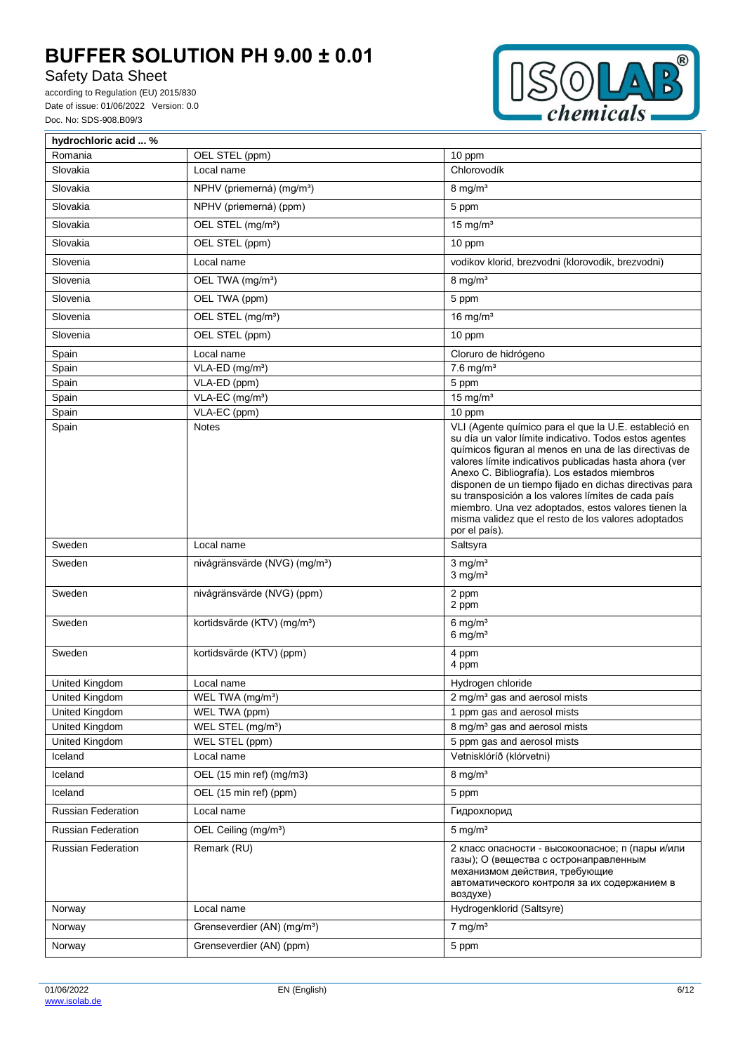# Safety Data Sheet



| hydrochloric acid  %      |                                           |                                                                                                                                                                                                                                                                                                                                                                                                                                                                                                                                    |
|---------------------------|-------------------------------------------|------------------------------------------------------------------------------------------------------------------------------------------------------------------------------------------------------------------------------------------------------------------------------------------------------------------------------------------------------------------------------------------------------------------------------------------------------------------------------------------------------------------------------------|
| Romania                   | OEL STEL (ppm)                            | 10 ppm                                                                                                                                                                                                                                                                                                                                                                                                                                                                                                                             |
| Slovakia                  | Local name                                | Chlorovodík                                                                                                                                                                                                                                                                                                                                                                                                                                                                                                                        |
| Slovakia                  | NPHV (priemerná) (mg/m <sup>3</sup> )     | $8 \text{ mg/m}^3$                                                                                                                                                                                                                                                                                                                                                                                                                                                                                                                 |
| Slovakia                  | NPHV (priemerná) (ppm)                    | 5 ppm                                                                                                                                                                                                                                                                                                                                                                                                                                                                                                                              |
| Slovakia                  | OEL STEL (mg/m <sup>3</sup> )             | 15 mg/ $m3$                                                                                                                                                                                                                                                                                                                                                                                                                                                                                                                        |
| Slovakia                  | OEL STEL (ppm)                            | 10 ppm                                                                                                                                                                                                                                                                                                                                                                                                                                                                                                                             |
| Slovenia                  | Local name                                | vodikov klorid, brezvodni (klorovodik, brezvodni)                                                                                                                                                                                                                                                                                                                                                                                                                                                                                  |
| Slovenia                  | OEL TWA (mg/m <sup>3</sup> )              | $8$ mg/m <sup>3</sup>                                                                                                                                                                                                                                                                                                                                                                                                                                                                                                              |
| Slovenia                  | OEL TWA (ppm)                             | 5 ppm                                                                                                                                                                                                                                                                                                                                                                                                                                                                                                                              |
| Slovenia                  | OEL STEL (mg/m <sup>3</sup> )             | 16 mg/ $m3$                                                                                                                                                                                                                                                                                                                                                                                                                                                                                                                        |
| Slovenia                  | OEL STEL (ppm)                            | 10 ppm                                                                                                                                                                                                                                                                                                                                                                                                                                                                                                                             |
| Spain                     | Local name                                | Cloruro de hidrógeno                                                                                                                                                                                                                                                                                                                                                                                                                                                                                                               |
| Spain                     | VLA-ED (mg/m <sup>3</sup> )               | $7.6$ mg/m <sup>3</sup>                                                                                                                                                                                                                                                                                                                                                                                                                                                                                                            |
| Spain                     | VLA-ED (ppm)                              | 5 ppm                                                                                                                                                                                                                                                                                                                                                                                                                                                                                                                              |
| Spain                     | VLA-EC (mg/m <sup>3</sup> )               | 15 mg/ $m3$                                                                                                                                                                                                                                                                                                                                                                                                                                                                                                                        |
| Spain                     | VLA-EC (ppm)                              | 10 ppm                                                                                                                                                                                                                                                                                                                                                                                                                                                                                                                             |
| Spain                     | <b>Notes</b>                              | VLI (Agente químico para el que la U.E. estableció en<br>su día un valor límite indicativo. Todos estos agentes<br>químicos figuran al menos en una de las directivas de<br>valores límite indicativos publicadas hasta ahora (ver<br>Anexo C. Bibliografía). Los estados miembros<br>disponen de un tiempo fijado en dichas directivas para<br>su transposición a los valores límites de cada país<br>miembro. Una vez adoptados, estos valores tienen la<br>misma validez que el resto de los valores adoptados<br>por el país). |
| Sweden                    | Local name                                | Saltsyra                                                                                                                                                                                                                                                                                                                                                                                                                                                                                                                           |
| Sweden                    | nivågränsvärde (NVG) (mg/m <sup>3</sup> ) | $3$ mg/m <sup>3</sup><br>$3$ mg/m $3$                                                                                                                                                                                                                                                                                                                                                                                                                                                                                              |
| Sweden                    | nivågränsvärde (NVG) (ppm)                | 2 ppm<br>2 ppm                                                                                                                                                                                                                                                                                                                                                                                                                                                                                                                     |
| Sweden                    | kortidsvärde (KTV) (mg/m <sup>3</sup> )   | 6 mg/ $m3$<br>6 mg/ $m3$                                                                                                                                                                                                                                                                                                                                                                                                                                                                                                           |
| Sweden                    | kortidsvärde (KTV) (ppm)                  | 4 ppm<br>4 ppm                                                                                                                                                                                                                                                                                                                                                                                                                                                                                                                     |
| United Kingdom            | Local name                                | Hydrogen chloride                                                                                                                                                                                                                                                                                                                                                                                                                                                                                                                  |
| United Kingdom            | WEL TWA (mg/m <sup>3</sup> )              | 2 mg/m <sup>3</sup> gas and aerosol mists                                                                                                                                                                                                                                                                                                                                                                                                                                                                                          |
| United Kingdom            | WEL TWA (ppm)                             | 1 ppm gas and aerosol mists                                                                                                                                                                                                                                                                                                                                                                                                                                                                                                        |
| United Kingdom            | WEL STEL (mg/m <sup>3</sup> )             | 8 mg/m <sup>3</sup> gas and aerosol mists                                                                                                                                                                                                                                                                                                                                                                                                                                                                                          |
| United Kingdom            | WEL STEL (ppm)                            | 5 ppm gas and aerosol mists                                                                                                                                                                                                                                                                                                                                                                                                                                                                                                        |
| Iceland                   | Local name                                | Vetnisklóríð (klórvetni)                                                                                                                                                                                                                                                                                                                                                                                                                                                                                                           |
| Iceland                   | OEL (15 min ref) (mg/m3)                  | $8$ mg/m <sup>3</sup>                                                                                                                                                                                                                                                                                                                                                                                                                                                                                                              |
| Iceland                   | OEL (15 min ref) (ppm)                    | 5 ppm                                                                                                                                                                                                                                                                                                                                                                                                                                                                                                                              |
| Russian Federation        | Local name                                | Гидрохлорид                                                                                                                                                                                                                                                                                                                                                                                                                                                                                                                        |
| Russian Federation        | OEL Ceiling (mg/m <sup>3</sup> )          | $5 \text{ mg/m}^3$                                                                                                                                                                                                                                                                                                                                                                                                                                                                                                                 |
| <b>Russian Federation</b> | Remark (RU)                               | 2 класс опасности - высокоопасное; п (пары и/или<br>газы); О (вещества с остронаправленным<br>механизмом действия, требующие<br>автоматического контроля за их содержанием в<br>воздухе)                                                                                                                                                                                                                                                                                                                                           |
| Norway                    | Local name                                | Hydrogenklorid (Saltsyre)                                                                                                                                                                                                                                                                                                                                                                                                                                                                                                          |
| Norway                    | Grenseverdier (AN) (mg/m <sup>3</sup> )   | $7$ mg/m <sup>3</sup>                                                                                                                                                                                                                                                                                                                                                                                                                                                                                                              |
| Norway                    | Grenseverdier (AN) (ppm)                  | 5 ppm                                                                                                                                                                                                                                                                                                                                                                                                                                                                                                                              |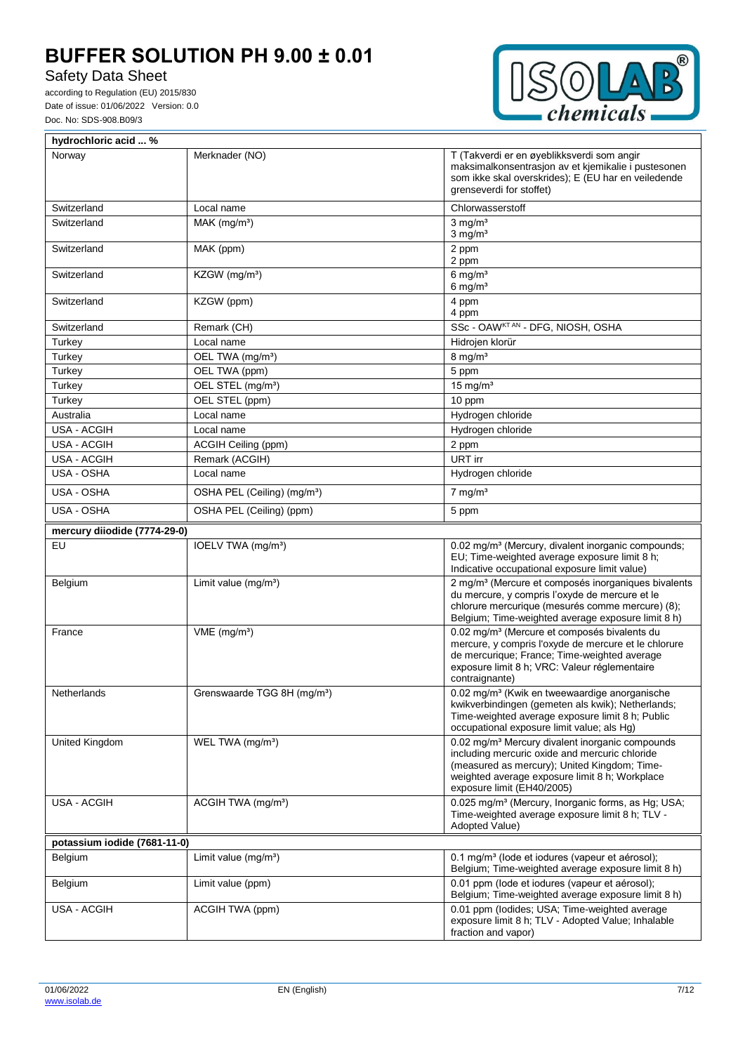# Safety Data Sheet



| hydrochloric acid  %                                                                     |                                         |                                                                                                                                                                                                                                     |  |
|------------------------------------------------------------------------------------------|-----------------------------------------|-------------------------------------------------------------------------------------------------------------------------------------------------------------------------------------------------------------------------------------|--|
| Norway                                                                                   | Merknader (NO)                          | T (Takverdi er en øyeblikksverdi som angir<br>maksimalkonsentrasjon av et kjemikalie i pustesonen<br>som ikke skal overskrides); E (EU har en veiledende<br>grenseverdi for stoffet)                                                |  |
| Switzerland                                                                              | Local name                              | Chlorwasserstoff                                                                                                                                                                                                                    |  |
| Switzerland<br>$MAK$ (mg/m <sup>3</sup> )<br>$3 \text{ ma/m}^3$<br>$3$ mg/m <sup>3</sup> |                                         |                                                                                                                                                                                                                                     |  |
| Switzerland                                                                              | MAK (ppm)                               | 2 ppm<br>2 ppm                                                                                                                                                                                                                      |  |
| Switzerland                                                                              | KZGW (mg/m <sup>3</sup> )               | $6$ mg/m <sup>3</sup><br>$6$ mg/m <sup>3</sup>                                                                                                                                                                                      |  |
| Switzerland                                                                              | KZGW (ppm)                              | 4 ppm<br>4 ppm                                                                                                                                                                                                                      |  |
| Switzerland                                                                              | Remark (CH)                             | SSc - OAWKTAN - DFG, NIOSH, OSHA                                                                                                                                                                                                    |  |
| Turkey                                                                                   | Local name                              | Hidrojen klorür                                                                                                                                                                                                                     |  |
| Turkey                                                                                   | OEL TWA (mg/m <sup>3</sup> )            | $8$ mg/m <sup>3</sup>                                                                                                                                                                                                               |  |
| Turkey                                                                                   | OEL TWA (ppm)                           | 5 ppm                                                                                                                                                                                                                               |  |
| Turkey                                                                                   | OEL STEL (mg/m <sup>3</sup> )           | 15 mg/ $m3$                                                                                                                                                                                                                         |  |
| Turkey                                                                                   | OEL STEL (ppm)                          | 10 ppm                                                                                                                                                                                                                              |  |
| Australia                                                                                | Local name                              | Hydrogen chloride                                                                                                                                                                                                                   |  |
| USA - ACGIH                                                                              | Local name                              | Hydrogen chloride                                                                                                                                                                                                                   |  |
| USA - ACGIH                                                                              | ACGIH Ceiling (ppm)                     | 2 ppm                                                                                                                                                                                                                               |  |
| USA - ACGIH                                                                              | Remark (ACGIH)                          | URT irr                                                                                                                                                                                                                             |  |
| USA - OSHA                                                                               | Local name                              | Hydrogen chloride                                                                                                                                                                                                                   |  |
| USA - OSHA                                                                               | OSHA PEL (Ceiling) (mg/m <sup>3</sup> ) | $7 \text{ mg/m}^3$                                                                                                                                                                                                                  |  |
| USA - OSHA                                                                               | OSHA PEL (Ceiling) (ppm)                | 5 ppm                                                                                                                                                                                                                               |  |
| mercury diiodide (7774-29-0)                                                             |                                         |                                                                                                                                                                                                                                     |  |
| EU                                                                                       | IOELV TWA (mg/m <sup>3</sup> )          | 0.02 mg/m <sup>3</sup> (Mercury, divalent inorganic compounds;<br>EU; Time-weighted average exposure limit 8 h;<br>Indicative occupational exposure limit value)                                                                    |  |
| <b>Belgium</b>                                                                           | Limit value $(mg/m3)$                   | 2 mg/m <sup>3</sup> (Mercure et composés inorganiques bivalents<br>du mercure, y compris l'oxyde de mercure et le<br>chlorure mercurique (mesurés comme mercure) (8);<br>Belgium; Time-weighted average exposure limit 8 h)         |  |
| France                                                                                   | $VME$ (mg/m <sup>3</sup> )              | 0.02 mg/m <sup>3</sup> (Mercure et composés bivalents du<br>mercure, y compris l'oxyde de mercure et le chlorure<br>de mercurique; France; Time-weighted average<br>exposure limit 8 h; VRC: Valeur réglementaire<br>contraignante) |  |
| Grenswaarde TGG 8H (mg/m <sup>3</sup> )<br>Netherlands                                   |                                         | 0.02 mg/m <sup>3</sup> (Kwik en tweewaardige anorganische<br>kwikverbindingen (gemeten als kwik); Netherlands;<br>Time-weighted average exposure limit 8 h; Public<br>occupational exposure limit value; als Hg)                    |  |
| United Kingdom<br>WEL TWA (mg/m <sup>3</sup> )<br>exposure limit (EH40/2005)             |                                         | 0.02 mg/m <sup>3</sup> Mercury divalent inorganic compounds<br>including mercuric oxide and mercuric chloride<br>(measured as mercury); United Kingdom; Time-<br>weighted average exposure limit 8 h; Workplace                     |  |
| USA - ACGIH                                                                              | ACGIH TWA (mg/m <sup>3</sup> )          | 0.025 mg/m <sup>3</sup> (Mercury, Inorganic forms, as Hg; USA;<br>Time-weighted average exposure limit 8 h; TLV -<br>Adopted Value)                                                                                                 |  |
| potassium iodide (7681-11-0)                                                             |                                         |                                                                                                                                                                                                                                     |  |
| Belgium                                                                                  | Limit value $(mg/m3)$                   | 0.1 mg/m <sup>3</sup> (lode et iodures (vapeur et aérosol);<br>Belgium; Time-weighted average exposure limit 8 h)                                                                                                                   |  |
| Belgium                                                                                  | Limit value (ppm)                       | 0.01 ppm (lode et iodures (vapeur et aérosol);<br>Belgium; Time-weighted average exposure limit 8 h)                                                                                                                                |  |
| USA - ACGIH                                                                              | ACGIH TWA (ppm)                         | 0.01 ppm (lodides; USA; Time-weighted average<br>exposure limit 8 h; TLV - Adopted Value; Inhalable<br>fraction and vapor)                                                                                                          |  |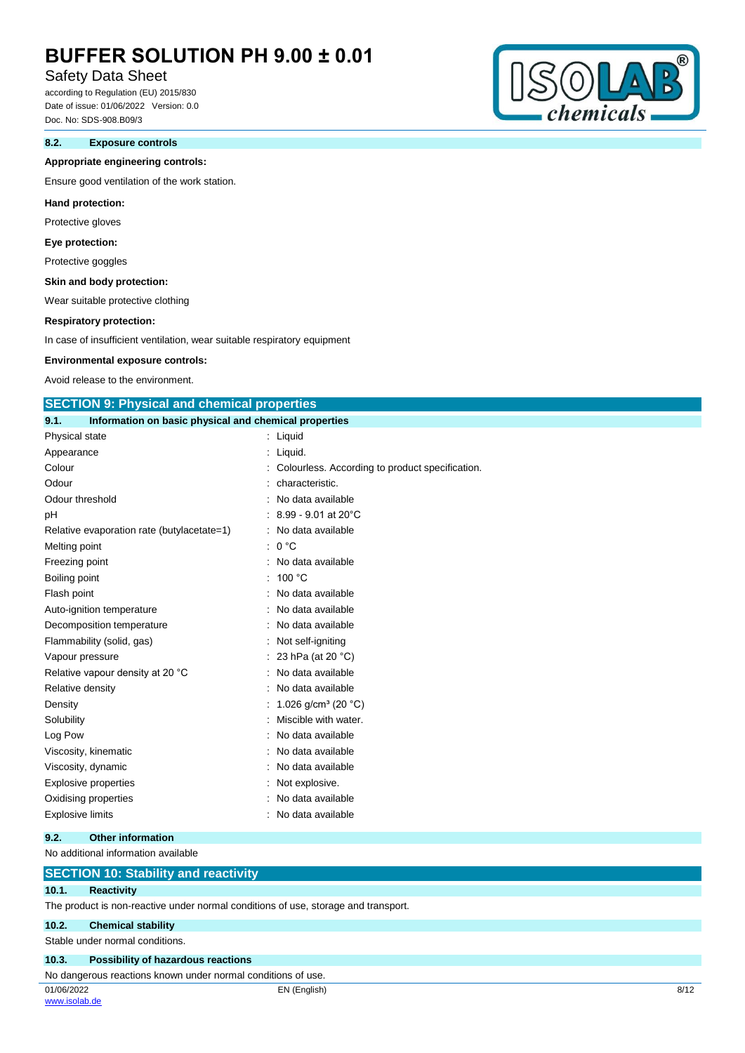# Safety Data Sheet

according to Regulation (EU) 2015/830 Date of issue: 01/06/2022 Version: 0.0 Doc. No: SDS-908.B09/3

## **8.2. Exposure controls**

#### **Appropriate engineering controls:**

Ensure good ventilation of the work station.

#### **Hand protection:**

Protective gloves

#### **Eye protection:**

Protective goggles

## **Skin and body protection:**

Wear suitable protective clothing

#### **Respiratory protection:**

In case of insufficient ventilation, wear suitable respiratory equipment

#### **Environmental exposure controls:**

Avoid release to the environment.

### **SECTION 9: Physical and chemical properties**

| 9.1. | Information on basic physical and chemical properties |                                                 |
|------|-------------------------------------------------------|-------------------------------------------------|
|      | Physical state                                        | : Liquid                                        |
|      | Appearance                                            | Liquid.                                         |
|      | Colour                                                | Colourless. According to product specification. |
|      | Odour                                                 | characteristic.                                 |
|      | Odour threshold                                       | No data available                               |
| рH   |                                                       | 8.99 - 9.01 at 20°C                             |
|      | Relative evaporation rate (butylacetate=1)            | No data available                               |
|      | Melting point                                         | 0 °C                                            |
|      | Freezing point                                        | No data available                               |
|      | Boiling point                                         | 100 °C                                          |
|      | Flash point                                           | No data available                               |
|      | Auto-ignition temperature                             | No data available                               |
|      | Decomposition temperature                             | : No data available                             |
|      | Flammability (solid, gas)                             | Not self-igniting                               |
|      | Vapour pressure                                       | 23 hPa (at 20 °C)                               |
|      | Relative vapour density at 20 °C                      | No data available                               |
|      | Relative density                                      | No data available                               |
|      | Density                                               | 1.026 $q/cm^3$ (20 °C)                          |
|      | Solubility                                            | Miscible with water.                            |
|      | Log Pow                                               | No data available                               |
|      | Viscosity, kinematic                                  | No data available                               |
|      | Viscosity, dynamic                                    | No data available                               |
|      | <b>Explosive properties</b>                           | Not explosive.                                  |
|      | Oxidising properties                                  | No data available                               |
|      | Explosive limits                                      | No data available                               |
|      |                                                       |                                                 |

#### **9.2. Other information**

#### No additional information available

### **SECTION 10: Stability and reactivity**

### **10.1. Reactivity**

The product is non-reactive under normal conditions of use, storage and transport.

#### **10.2. Chemical stability**

Stable under normal conditions.

#### **10.3. Possibility of hazardous reactions**

No dangerous reactions known under normal conditions of use.

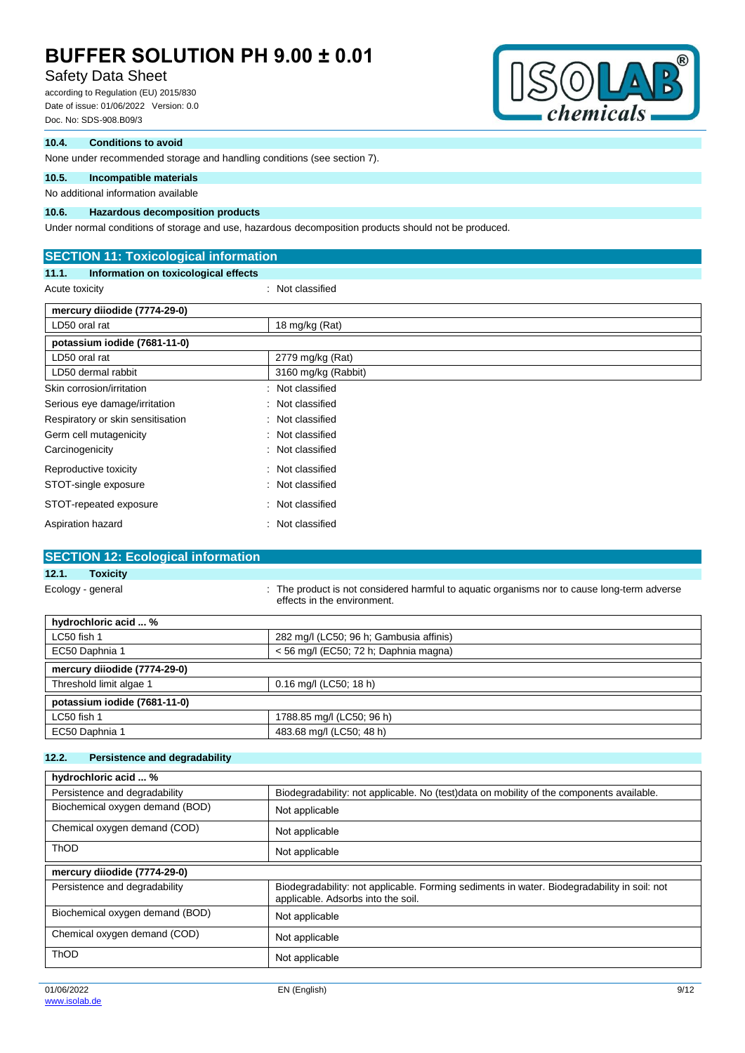# Safety Data Sheet

according to Regulation (EU) 2015/830 Date of issue: 01/06/2022 Version: 0.0 Doc. No: SDS-908.B09/3



### **10.4. Conditions to avoid**

None under recommended storage and handling conditions (see section 7).

## **10.5. Incompatible materials**

## No additional information available

## **10.6. Hazardous decomposition products**

Under normal conditions of storage and use, hazardous decomposition products should not be produced.

| <b>SECTION 11: Toxicological information</b>  |                      |  |
|-----------------------------------------------|----------------------|--|
| Information on toxicological effects<br>11.1. |                      |  |
| Acute toxicity                                | : Not classified     |  |
| mercury diiodide (7774-29-0)                  |                      |  |
| LD50 oral rat                                 | 18 mg/kg (Rat)       |  |
| potassium iodide (7681-11-0)                  |                      |  |
| LD50 oral rat                                 | 2779 mg/kg (Rat)     |  |
| LD50 dermal rabbit                            | 3160 mg/kg (Rabbit)  |  |
| Skin corrosion/irritation                     | Not classified       |  |
| Serious eye damage/irritation                 | Not classified<br>÷. |  |
| Respiratory or skin sensitisation             | Not classified<br>÷  |  |
| Germ cell mutagenicity                        | : Not classified     |  |
| Carcinogenicity                               | : Not classified     |  |
| Reproductive toxicity                         | Not classified<br>÷  |  |
| STOT-single exposure                          | Not classified<br>÷. |  |
| STOT-repeated exposure                        | Not classified<br>÷  |  |
| Aspiration hazard                             | Not classified       |  |

## **SECTION 12: Ecological information**

## **12.1. Toxicity**

Ecology - general state of the product is not considered harmful to aquatic organisms nor to cause long-term adverse effects in the environment.

| hydrochloric acid  %         |                                         |
|------------------------------|-----------------------------------------|
| LC50 fish 1                  | 282 mg/l (LC50; 96 h; Gambusia affinis) |
| EC50 Daphnia 1               | $<$ 56 mg/l (EC50; 72 h; Daphnia magna) |
| mercury diiodide (7774-29-0) |                                         |
| Threshold limit algae 1      | $0.16$ mg/l (LC50; 18 h)                |
| potassium iodide (7681-11-0) |                                         |
| LC50 fish 1                  | 1788.85 mg/l (LC50; 96 h)               |
| EC50 Daphnia 1               | 483.68 mg/l (LC50; 48 h)                |

#### **12.2. Persistence and degradability**

| hydrochloric acid  %            |                                                                                                                                   |
|---------------------------------|-----------------------------------------------------------------------------------------------------------------------------------|
| Persistence and degradability   | Biodegradability: not applicable. No (test)data on mobility of the components available.                                          |
| Biochemical oxygen demand (BOD) | Not applicable                                                                                                                    |
| Chemical oxygen demand (COD)    | Not applicable                                                                                                                    |
| <b>ThOD</b>                     | Not applicable                                                                                                                    |
| mercury diiodide (7774-29-0)    |                                                                                                                                   |
| Persistence and degradability   | Biodegradability: not applicable. Forming sediments in water. Biodegradability in soil: not<br>applicable. Adsorbs into the soil. |
| Biochemical oxygen demand (BOD) | Not applicable                                                                                                                    |
| Chemical oxygen demand (COD)    | Not applicable                                                                                                                    |
| <b>ThOD</b>                     |                                                                                                                                   |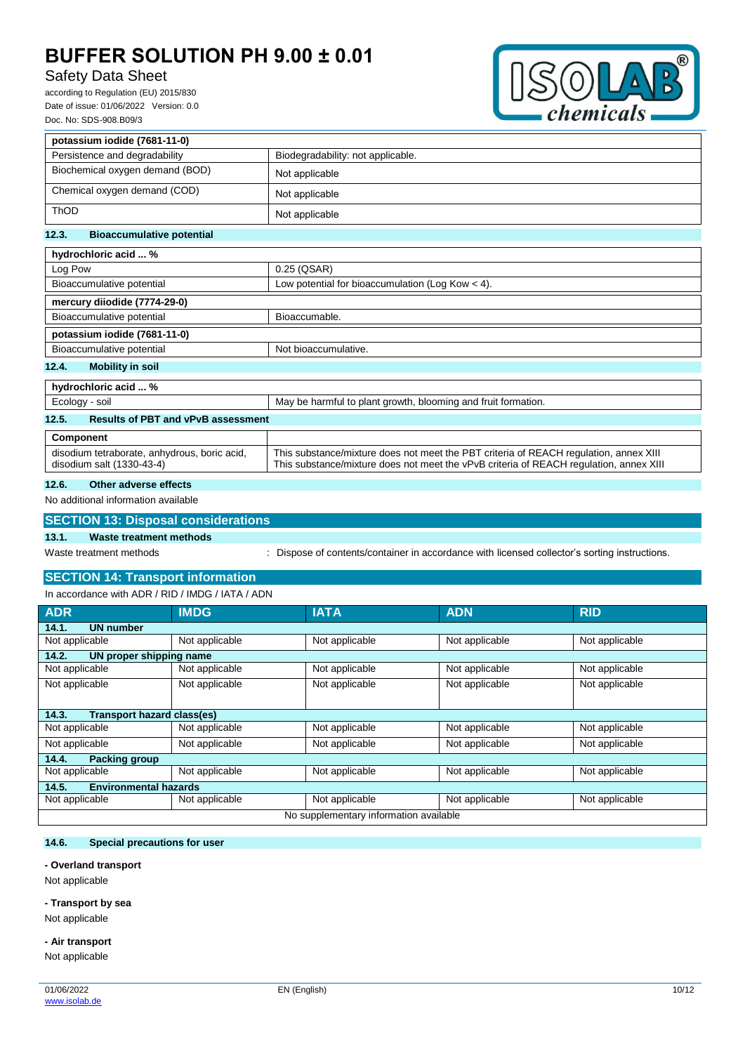# Safety Data Sheet

according to Regulation (EU) 2015/830 Date of issue: 01/06/2022 Version: 0.0 Doc. No: SDS-908.B09/3



| potassium iodide (7681-11-0)              |                                                    |  |
|-------------------------------------------|----------------------------------------------------|--|
| Persistence and degradability             | Biodegradability: not applicable.                  |  |
| Biochemical oxygen demand (BOD)           | Not applicable                                     |  |
| Chemical oxygen demand (COD)              | Not applicable                                     |  |
| ThOD                                      | Not applicable                                     |  |
| 12.3.<br><b>Bioaccumulative potential</b> |                                                    |  |
| hydrochloric acid  %                      |                                                    |  |
| Log Pow                                   | 0.25 (QSAR)                                        |  |
| Bioaccumulative potential                 | Low potential for bioaccumulation (Log Kow $<$ 4). |  |
| mercury diiodide (7774-29-0)              |                                                    |  |
| Bioaccumulative potential                 | Bioaccumable.                                      |  |
| potassium iodide (7681-11-0)              |                                                    |  |
| Bioaccumulative potential                 | Not bioaccumulative.                               |  |
| <b>Mobility in soil</b><br>12.4.          |                                                    |  |
| hydrochloric acid  %                      |                                                    |  |

| Ecology - soil                                                            | May be harmful to plant growth, blooming and fruit formation.                                                                                                                   |
|---------------------------------------------------------------------------|---------------------------------------------------------------------------------------------------------------------------------------------------------------------------------|
| 12.5.<br><b>Results of PBT and vPvB assessment</b>                        |                                                                                                                                                                                 |
| Component                                                                 |                                                                                                                                                                                 |
| disodium tetraborate, anhydrous, boric acid,<br>disodium salt (1330-43-4) | This substance/mixture does not meet the PBT criteria of REACH regulation, annex XIII<br>This substance/mixture does not meet the vPvB criteria of REACH regulation, annex XIII |

#### **12.6. Other adverse effects**

#### No additional information available

|       | <b>SECTION 13: Disposal considerations</b> |                                                                                             |
|-------|--------------------------------------------|---------------------------------------------------------------------------------------------|
| 13.1. | Waste treatment methods                    |                                                                                             |
|       | Waste treatment methods                    | Dispose of contents/container in accordance with licensed collector's sorting instructions. |

# **SECTION 14: Transport information**

In accordance with ADR / RID / IMDG / IATA / ADN

| <b>ADR</b>                             | <b>IMDG</b>    | <b>IATA</b>    | <b>ADN</b>     | <b>RID</b>     |
|----------------------------------------|----------------|----------------|----------------|----------------|
| <b>UN number</b><br>14.1.              |                |                |                |                |
| Not applicable                         | Not applicable | Not applicable | Not applicable | Not applicable |
| 14.2.<br>UN proper shipping name       |                |                |                |                |
| Not applicable                         | Not applicable | Not applicable | Not applicable | Not applicable |
| Not applicable                         | Not applicable | Not applicable | Not applicable | Not applicable |
|                                        |                |                |                |                |
| Transport hazard class(es)<br>14.3.    |                |                |                |                |
| Not applicable                         | Not applicable | Not applicable | Not applicable | Not applicable |
| Not applicable                         | Not applicable | Not applicable | Not applicable | Not applicable |
| 14.4.<br><b>Packing group</b>          |                |                |                |                |
| Not applicable                         | Not applicable | Not applicable | Not applicable | Not applicable |
| <b>Environmental hazards</b><br>14.5.  |                |                |                |                |
| Not applicable                         | Not applicable | Not applicable | Not applicable | Not applicable |
| No supplementary information available |                |                |                |                |

### **14.6. Special precautions for user**

#### **- Overland transport**

Not applicable

#### **- Transport by sea**

Not applicable

# **- Air transport**

Not applicable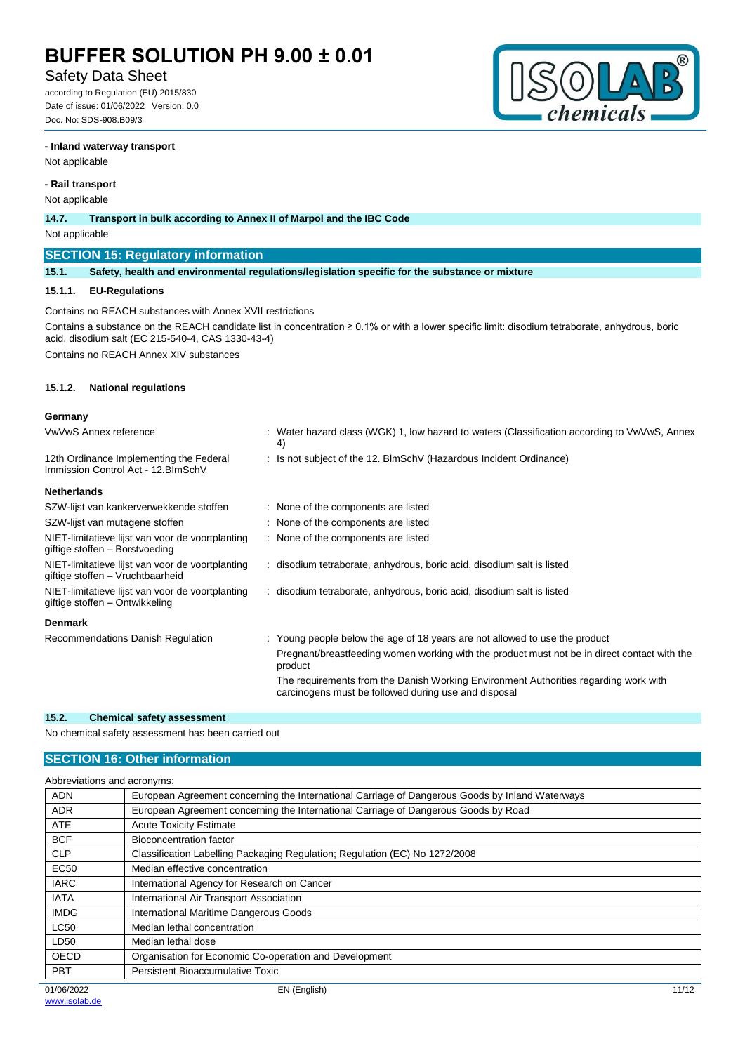# Safety Data Sheet

according to Regulation (EU) 2015/830 Date of issue: 01/06/2022 Version: 0.0 Doc. No: SDS-908.B09/3



#### **- Inland waterway transport**

Not applicable

### **- Rail transport**

Not applicable

**14.7. Transport in bulk according to Annex II of Marpol and the IBC Code**

#### Not applicable

### **SECTION 15: Regulatory information**

**15.1. Safety, health and environmental regulations/legislation specific for the substance or mixture**

#### **15.1.1. EU-Regulations**

Contains no REACH substances with Annex XVII restrictions Contains a substance on the REACH candidate list in concentration ≥ 0.1% or with a lower specific limit: disodium tetraborate, anhydrous, boric acid, disodium salt (EC 215-540-4, CAS 1330-43-4)

Contains no REACH Annex XIV substances

#### **15.1.2. National regulations**

#### **Germany**

| VwVwS Annex reference                                                                | : Water hazard class (WGK) 1, low hazard to waters (Classification according to VwVwS, Annex<br>4)                                           |
|--------------------------------------------------------------------------------------|----------------------------------------------------------------------------------------------------------------------------------------------|
| 12th Ordinance Implementing the Federal<br>Immission Control Act - 12. BlmSchV       | : Is not subject of the 12. BlmSchV (Hazardous Incident Ordinance)                                                                           |
| <b>Netherlands</b>                                                                   |                                                                                                                                              |
| SZW-lijst van kankerverwekkende stoffen                                              | : None of the components are listed                                                                                                          |
| SZW-lijst van mutagene stoffen                                                       | : None of the components are listed                                                                                                          |
| NIET-limitatieve lijst van voor de voortplanting<br>giftige stoffen - Borstvoeding   | : None of the components are listed                                                                                                          |
| NIET-limitatieve lijst van voor de voortplanting<br>giftige stoffen - Vruchtbaarheid | : disodium tetraborate, anhydrous, boric acid, disodium salt is listed                                                                       |
| NIET-limitatieve lijst van voor de voortplanting<br>giftige stoffen – Ontwikkeling   | : disodium tetraborate, anhydrous, boric acid, disodium salt is listed                                                                       |
| <b>Denmark</b>                                                                       |                                                                                                                                              |
| Recommendations Danish Regulation                                                    | : Young people below the age of 18 years are not allowed to use the product                                                                  |
|                                                                                      | Pregnant/breastfeeding women working with the product must not be in direct contact with the<br>product                                      |
|                                                                                      | The requirements from the Danish Working Environment Authorities regarding work with<br>carcinogens must be followed during use and disposal |

### **15.2. Chemical safety assessment**

No chemical safety assessment has been carried out

## **SECTION 16: Other information**

|             | Abbreviations and acronyms:                                                                     |       |
|-------------|-------------------------------------------------------------------------------------------------|-------|
| <b>ADN</b>  | European Agreement concerning the International Carriage of Dangerous Goods by Inland Waterways |       |
| <b>ADR</b>  | European Agreement concerning the International Carriage of Dangerous Goods by Road             |       |
| <b>ATE</b>  | <b>Acute Toxicity Estimate</b>                                                                  |       |
| <b>BCF</b>  | Bioconcentration factor                                                                         |       |
| <b>CLP</b>  | Classification Labelling Packaging Regulation; Regulation (EC) No 1272/2008                     |       |
| EC50        | Median effective concentration                                                                  |       |
| <b>IARC</b> | International Agency for Research on Cancer                                                     |       |
| <b>IATA</b> | International Air Transport Association                                                         |       |
| <b>IMDG</b> | International Maritime Dangerous Goods                                                          |       |
| <b>LC50</b> | Median lethal concentration                                                                     |       |
| LD50        | Median lethal dose                                                                              |       |
| <b>OECD</b> | Organisation for Economic Co-operation and Development                                          |       |
| <b>PBT</b>  | Persistent Bioaccumulative Toxic                                                                |       |
| 01/06/2022  | EN (English)                                                                                    | 11/12 |